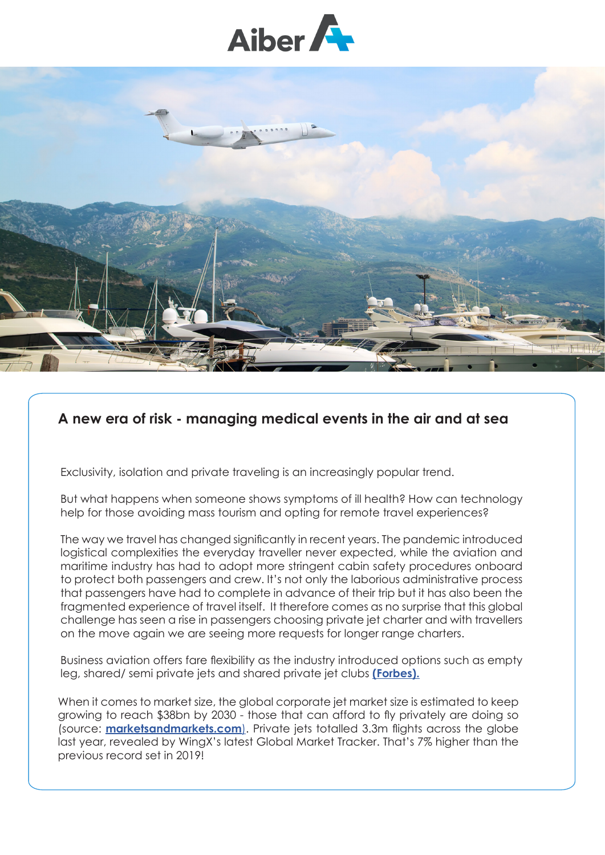



## **A new era of risk - managing medical events in the air and at sea**

Exclusivity, isolation and private traveling is an increasingly popular trend.

But what happens when someone shows symptoms of ill health? How can technology help for those avoiding mass tourism and opting for remote travel experiences?

The way we travel has changed significantly in recent years. The pandemic introduced logistical complexities the everyday traveller never expected, while the aviation and maritime industry has had to adopt more stringent cabin safety procedures onboard to protect both passengers and crew. It's not only the laborious administrative process that passengers have had to complete in advance of their trip but it has also been the fragmented experience of travel itself. It therefore comes as no surprise that this global challenge has seen a rise in passengers choosing private jet charter and with travellers on the move again we are seeing more requests for longer range charters.

Business aviation offers fare flexibility as the industry introduced options such as empty leg, shared/ semi private jets and shared private jet clubs **[\(Forbes\).](https://www.forbes.com/sites/michelerobson/2020/05/31/are-private-jets-the-new-business-or-first-class-how-to-fly-one-for-less/?sh=708330187810)**

When it comes to market size, the global corporate jet market size is estimated to keep growing to reach \$38bn by 2030 - those that can afford to fly privately are doing so (source: **[marketsandmarkets.com](http://marketsandmarkets.com/)**). Private jets totalled 3.3m flights across the globe last year, revealed by WingX's latest Global Market Tracker. That's 7% higher than the previous record set in 2019!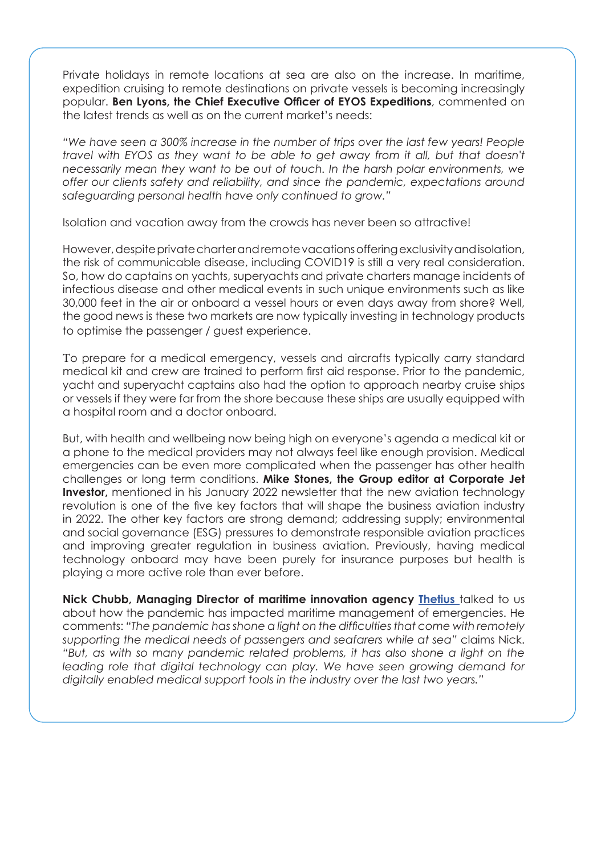Private holidays in remote locations at sea are also on the increase. In maritime, expedition cruising to remote destinations on private vessels is becoming increasingly popular. **Ben Lyons, the Chief Executive Officer of EYOS Expeditions**, commented on the latest trends as well as on the current market's needs:

*"We have seen a 300% increase in the number of trips over the last few years! People travel with EYOS as they want to be able to get away from it all, but that doesn't necessarily mean they want to be out of touch. In the harsh polar environments, we offer our clients safety and reliability, and since the pandemic, expectations around safeguarding personal health have only continued to grow."* 

Isolation and vacation away from the crowds has never been so attractive!

However, despite private charter and remote vacations offering exclusivity and isolation, the risk of communicable disease, including COVID19 is still a very real consideration. So, how do captains on yachts, superyachts and private charters manage incidents of infectious disease and other medical events in such unique environments such as like 30,000 feet in the air or onboard a vessel hours or even days away from shore? Well, the good news is these two markets are now typically investing in technology products to optimise the passenger / guest experience.

To prepare for a medical emergency, vessels and aircrafts typically carry standard medical kit and crew are trained to perform first aid response. Prior to the pandemic, yacht and superyacht captains also had the option to approach nearby cruise ships or vessels if they were far from the shore because these ships are usually equipped with a hospital room and a doctor onboard.

But, with health and wellbeing now being high on everyone's agenda a medical kit or a phone to the medical providers may not always feel like enough provision. Medical emergencies can be even more complicated when the passenger has other health challenges or long term conditions. **Mike Stones, the Group editor at Corporate Jet Investor,** mentioned in his January 2022 newsletter that the new aviation technology revolution is one of the five key factors that will shape the business aviation industry in 2022. The other key factors are strong demand; addressing supply; environmental and social governance (ESG) pressures to demonstrate responsible aviation practices and improving greater regulation in business aviation. Previously, having medical technology onboard may have been purely for insurance purposes but health is playing a more active role than ever before.

**Nick Chubb, Managing Director of maritime innovation agency [Thetius](https://thetius.com/)** talked to us about how the pandemic has impacted maritime management of emergencies. He comments: *"The pandemic has shone a light on the difficulties that come with remotely supporting the medical needs of passengers and seafarers while at sea"* claims Nick. *"But, as with so many pandemic related problems, it has also shone a light on the*  leading role that digital technology can play. We have seen growing demand for *digitally enabled medical support tools in the industry over the last two years."*